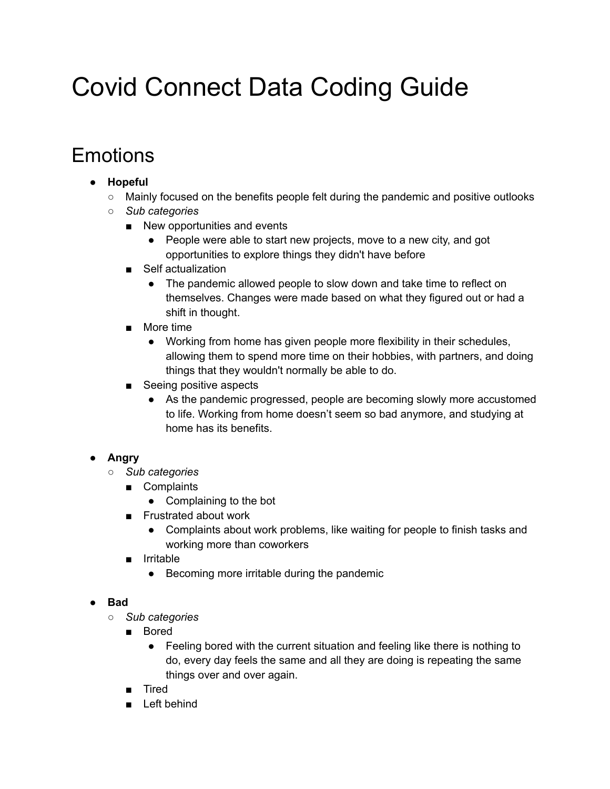# Covid Connect Data Coding Guide

# Emotions

# **● Hopeful**

- Mainly focused on the benefits people felt during the pandemic and positive outlooks
- *○ Sub categories*
	- New opportunities and events
		- People were able to start new projects, move to a new city, and got opportunities to explore things they didn't have before
	- Self actualization
		- The pandemic allowed people to slow down and take time to reflect on themselves. Changes were made based on what they figured out or had a shift in thought.
	- More time
		- Working from home has given people more flexibility in their schedules, allowing them to spend more time on their hobbies, with partners, and doing things that they wouldn't normally be able to do.
	- Seeing positive aspects
		- As the pandemic progressed, people are becoming slowly more accustomed to life. Working from home doesn't seem so bad anymore, and studying at home has its benefits.

# **● Angry**

- *○ Sub categories*
	- Complaints
		- Complaining to the bot
	- Frustrated about work
		- Complaints about work problems, like waiting for people to finish tasks and working more than coworkers
	- Irritable
		- Becoming more irritable during the pandemic

# **● Bad**

- *○ Sub categories*
	- Bored
		- Feeling bored with the current situation and feeling like there is nothing to do, every day feels the same and all they are doing is repeating the same things over and over again.
	- Tired
	- Left behind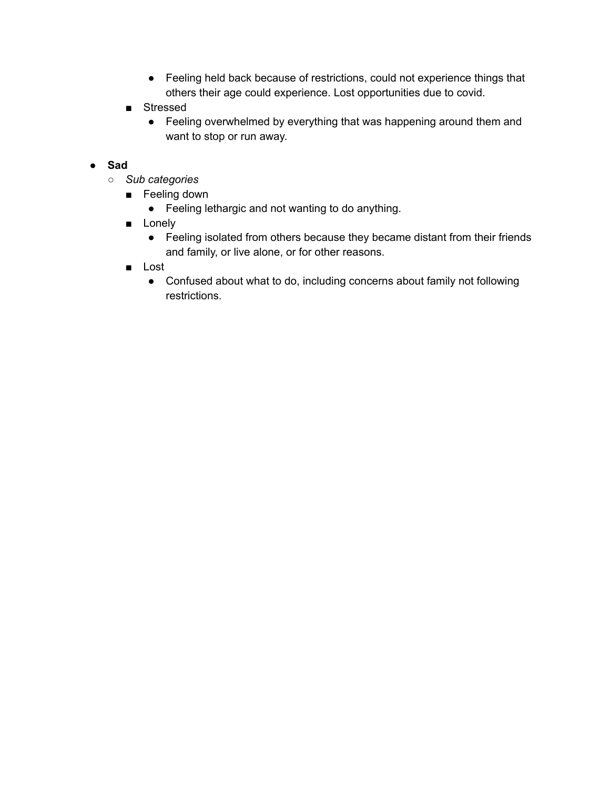- Feeling held back because of restrictions, could not experience things that others their age could experience. Lost opportunities due to covid.
- Stressed
	- Feeling overwhelmed by everything that was happening around them and want to stop or run away.

#### **● Sad**

- *○ Sub categories*
	- Feeling down
		- Feeling lethargic and not wanting to do anything.
	- Lonely
		- Feeling isolated from others because they became distant from their friends and family, or live alone, or for other reasons.
	- Lost
		- Confused about what to do, including concerns about family not following restrictions.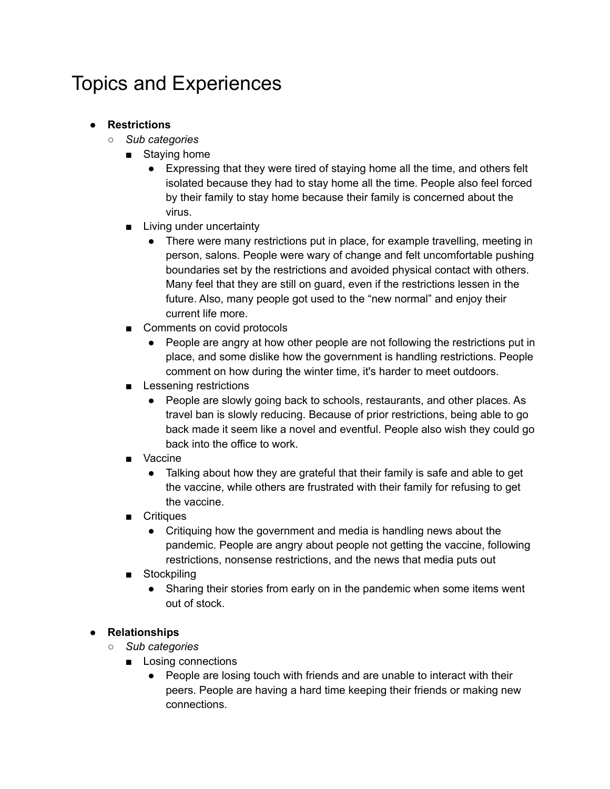# Topics and Experiences

- **● Restrictions**
	- *○ Sub categories*
		- Staying home
			- Expressing that they were tired of staying home all the time, and others felt isolated because they had to stay home all the time. People also feel forced by their family to stay home because their family is concerned about the virus.
		- Living under uncertainty
			- There were many restrictions put in place, for example travelling, meeting in person, salons. People were wary of change and felt uncomfortable pushing boundaries set by the restrictions and avoided physical contact with others. Many feel that they are still on guard, even if the restrictions lessen in the future. Also, many people got used to the "new normal" and enjoy their current life more.
		- Comments on covid protocols
			- People are angry at how other people are not following the restrictions put in place, and some dislike how the government is handling restrictions. People comment on how during the winter time, it's harder to meet outdoors.
		- Lessening restrictions
			- People are slowly going back to schools, restaurants, and other places. As travel ban is slowly reducing. Because of prior restrictions, being able to go back made it seem like a novel and eventful. People also wish they could go back into the office to work.
		- Vaccine
			- Talking about how they are grateful that their family is safe and able to get the vaccine, while others are frustrated with their family for refusing to get the vaccine.
		- Critiques
			- Critiquing how the government and media is handling news about the pandemic. People are angry about people not getting the vaccine, following restrictions, nonsense restrictions, and the news that media puts out
		- Stockpiling
			- Sharing their stories from early on in the pandemic when some items went out of stock.

#### **● Relationships**

- *○ Sub categories*
	- Losing connections
		- People are losing touch with friends and are unable to interact with their peers. People are having a hard time keeping their friends or making new connections.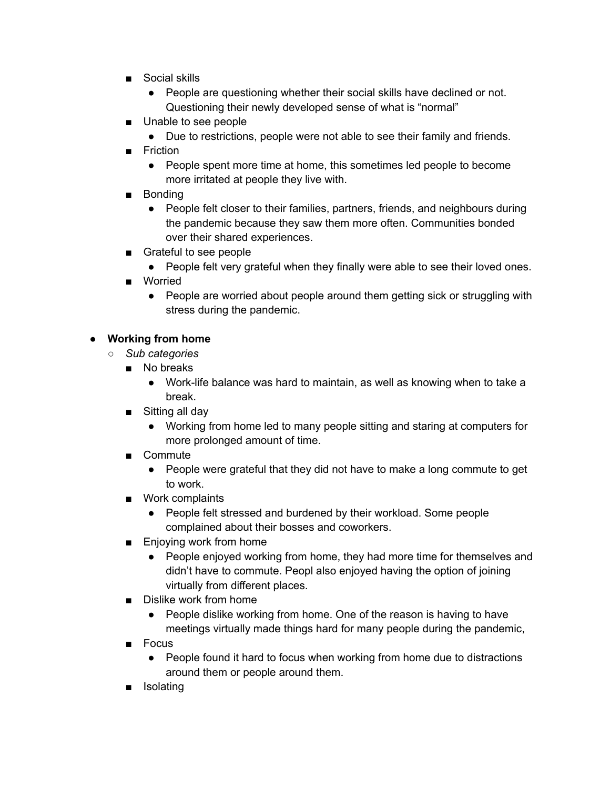- Social skills
	- People are questioning whether their social skills have declined or not. Questioning their newly developed sense of what is "normal"
- Unable to see people
	- Due to restrictions, people were not able to see their family and friends.
- Friction
	- People spent more time at home, this sometimes led people to become more irritated at people they live with.
- Bonding
	- People felt closer to their families, partners, friends, and neighbours during the pandemic because they saw them more often. Communities bonded over their shared experiences.
- Grateful to see people
	- People felt very grateful when they finally were able to see their loved ones.
- Worried
	- People are worried about people around them getting sick or struggling with stress during the pandemic.

### **● Working from home**

- *○ Sub categories*
	- No breaks
		- Work-life balance was hard to maintain, as well as knowing when to take a break.
	- Sitting all day
		- Working from home led to many people sitting and staring at computers for more prolonged amount of time.
	- Commute
		- People were grateful that they did not have to make a long commute to get to work.
	- Work complaints
		- People felt stressed and burdened by their workload. Some people complained about their bosses and coworkers.
	- Enjoying work from home
		- People enjoyed working from home, they had more time for themselves and didn't have to commute. Peopl also enjoyed having the option of joining virtually from different places.
	- Dislike work from home
		- People dislike working from home. One of the reason is having to have meetings virtually made things hard for many people during the pandemic,
	- Focus
		- People found it hard to focus when working from home due to distractions around them or people around them.
	- Isolating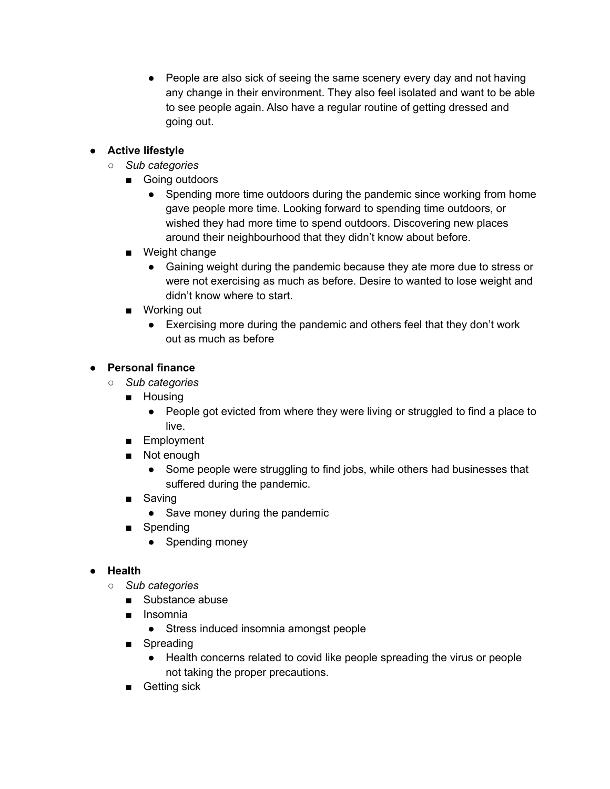• People are also sick of seeing the same scenery every day and not having any change in their environment. They also feel isolated and want to be able to see people again. Also have a regular routine of getting dressed and going out.

## **● Active lifestyle**

- *○ Sub categories*
	- Going outdoors
		- Spending more time outdoors during the pandemic since working from home gave people more time. Looking forward to spending time outdoors, or wished they had more time to spend outdoors. Discovering new places around their neighbourhood that they didn't know about before.
	- Weight change
		- Gaining weight during the pandemic because they ate more due to stress or were not exercising as much as before. Desire to wanted to lose weight and didn't know where to start.
	- Working out
		- Exercising more during the pandemic and others feel that they don't work out as much as before

### **● Personal finance**

- *○ Sub categories*
	- Housing
		- People got evicted from where they were living or struggled to find a place to live.
	- Employment
	- Not enough
		- Some people were struggling to find jobs, while others had businesses that suffered during the pandemic.
	- Saving
		- Save money during the pandemic
	- Spending
		- Spending money

#### **● Health**

- *○ Sub categories*
	- Substance abuse
	- Insomnia
		- Stress induced insomnia amongst people
	- Spreading
		- Health concerns related to covid like people spreading the virus or people not taking the proper precautions.
	- Getting sick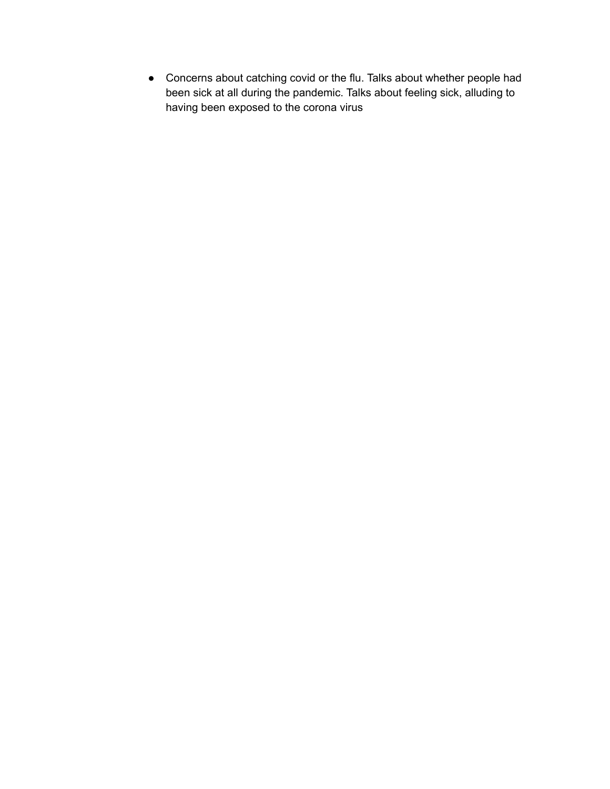● Concerns about catching covid or the flu. Talks about whether people had been sick at all during the pandemic. Talks about feeling sick, alluding to having been exposed to the corona virus